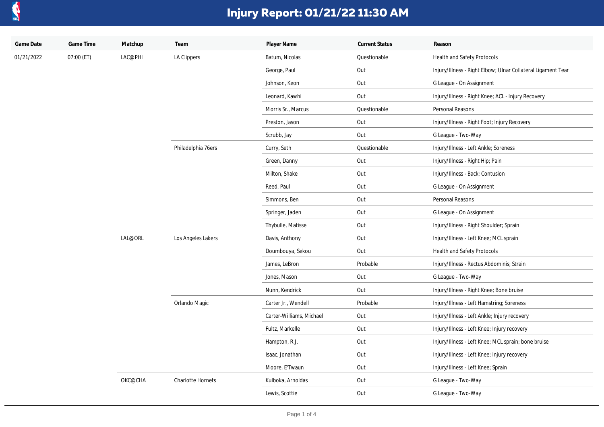

| Game Date  | Game Time  | Matchup | Team               | Player Name              | <b>Current Status</b> | Reason                                                       |
|------------|------------|---------|--------------------|--------------------------|-----------------------|--------------------------------------------------------------|
| 01/21/2022 | 07:00 (ET) | LAC@PHI | LA Clippers        | Batum, Nicolas           | Questionable          | Health and Safety Protocols                                  |
|            |            |         |                    | George, Paul             | Out                   | Injury/Illness - Right Elbow; Ulnar Collateral Ligament Tear |
|            |            |         |                    | Johnson, Keon            | Out                   | G League - On Assignment                                     |
|            |            |         |                    | Leonard, Kawhi           | Out                   | Injury/Illness - Right Knee; ACL - Injury Recovery           |
|            |            |         |                    | Morris Sr., Marcus       | Questionable          | Personal Reasons                                             |
|            |            |         |                    | Preston, Jason           | Out                   | Injury/Illness - Right Foot; Injury Recovery                 |
|            |            |         |                    | Scrubb, Jay              | Out                   | G League - Two-Way                                           |
|            |            |         | Philadelphia 76ers | Curry, Seth              | Questionable          | Injury/Illness - Left Ankle; Soreness                        |
|            |            |         |                    | Green, Danny             | Out                   | Injury/Illness - Right Hip; Pain                             |
|            |            |         |                    | Milton, Shake            | Out                   | Injury/Illness - Back; Contusion                             |
|            |            |         |                    | Reed, Paul               | Out                   | G League - On Assignment                                     |
|            |            |         |                    | Simmons, Ben             | Out                   | Personal Reasons                                             |
|            |            |         |                    | Springer, Jaden          | Out                   | G League - On Assignment                                     |
|            |            |         |                    | Thybulle, Matisse        | Out                   | Injury/Illness - Right Shoulder; Sprain                      |
|            |            | LAL@ORL | Los Angeles Lakers | Davis, Anthony           | Out                   | Injury/Illness - Left Knee; MCL sprain                       |
|            |            |         |                    | Doumbouya, Sekou         | Out                   | Health and Safety Protocols                                  |
|            |            |         |                    | James, LeBron            | Probable              | Injury/Illness - Rectus Abdominis; Strain                    |
|            |            |         |                    | Jones, Mason             | Out                   | G League - Two-Way                                           |
|            |            |         |                    | Nunn, Kendrick           | Out                   | Injury/Illness - Right Knee; Bone bruise                     |
|            |            |         | Orlando Magic      | Carter Jr., Wendell      | Probable              | Injury/Illness - Left Hamstring; Soreness                    |
|            |            |         |                    | Carter-Williams, Michael | Out                   | Injury/Illness - Left Ankle; Injury recovery                 |
|            |            |         |                    | Fultz, Markelle          | Out                   | Injury/Illness - Left Knee; Injury recovery                  |
|            |            |         |                    | Hampton, R.J.            | Out                   | Injury/Illness - Left Knee; MCL sprain; bone bruise          |
|            |            |         |                    | Isaac, Jonathan          | Out                   | Injury/Illness - Left Knee; Injury recovery                  |
|            |            |         |                    | Moore, E'Twaun           | Out                   | Injury/Illness - Left Knee; Sprain                           |
|            |            | OKC@CHA | Charlotte Hornets  | Kulboka, Arnoldas        | Out                   | G League - Two-Way                                           |
|            |            |         |                    | Lewis, Scottie           | Out                   | G League - Two-Way                                           |
|            |            |         |                    |                          |                       |                                                              |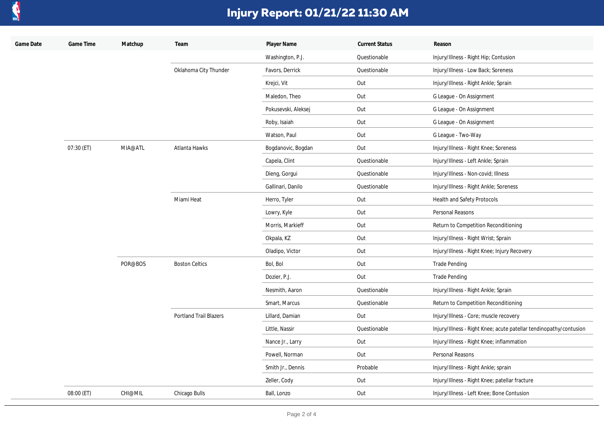

| Game Date | Game Time  | Matchup | Team                          | Player Name         | <b>Current Status</b> | Reason                                                             |
|-----------|------------|---------|-------------------------------|---------------------|-----------------------|--------------------------------------------------------------------|
|           |            |         |                               | Washington, P.J.    | Questionable          | Injury/Illness - Right Hip; Contusion                              |
|           |            |         | Oklahoma City Thunder         | Favors, Derrick     | Questionable          | Injury/Illness - Low Back; Soreness                                |
|           |            |         |                               | Krejci, Vit         | Out                   | Injury/Illness - Right Ankle; Sprain                               |
|           |            |         |                               | Maledon, Theo       | Out                   | G League - On Assignment                                           |
|           |            |         |                               | Pokusevski, Aleksej | Out                   | G League - On Assignment                                           |
|           |            |         |                               | Roby, Isaiah        | Out                   | G League - On Assignment                                           |
|           |            |         |                               | Watson, Paul        | Out                   | G League - Two-Way                                                 |
|           | 07:30 (ET) | MIA@ATL | Atlanta Hawks                 | Bogdanovic, Bogdan  | Out                   | Injury/Illness - Right Knee; Soreness                              |
|           |            |         |                               | Capela, Clint       | Questionable          | Injury/Illness - Left Ankle; Sprain                                |
|           |            |         |                               | Dieng, Gorgui       | Questionable          | Injury/Illness - Non-covid; Illness                                |
|           |            |         |                               | Gallinari, Danilo   | Questionable          | Injury/Illness - Right Ankle; Soreness                             |
|           |            |         | Miami Heat                    | Herro, Tyler        | Out                   | Health and Safety Protocols                                        |
|           |            |         |                               | Lowry, Kyle         | Out                   | Personal Reasons                                                   |
|           |            |         |                               | Morris, Markieff    | Out                   | Return to Competition Reconditioning                               |
|           |            |         |                               | Okpala, KZ          | Out                   | Injury/Illness - Right Wrist; Sprain                               |
|           |            |         |                               | Oladipo, Victor     | Out                   | Injury/Illness - Right Knee; Injury Recovery                       |
|           |            | POR@BOS | <b>Boston Celtics</b>         | Bol, Bol            | Out                   | <b>Trade Pending</b>                                               |
|           |            |         |                               | Dozier, P.J.        | Out                   | <b>Trade Pending</b>                                               |
|           |            |         |                               | Nesmith, Aaron      | Questionable          | Injury/Illness - Right Ankle; Sprain                               |
|           |            |         |                               | Smart, Marcus       | Questionable          | Return to Competition Reconditioning                               |
|           |            |         | <b>Portland Trail Blazers</b> | Lillard, Damian     | Out                   | Injury/Illness - Core; muscle recovery                             |
|           |            |         |                               | Little, Nassir      | Questionable          | Injury/Illness - Right Knee; acute patellar tendinopathy/contusion |
|           |            |         |                               | Nance Jr., Larry    | Out                   | Injury/Illness - Right Knee; inflammation                          |
|           |            |         |                               | Powell, Norman      | Out                   | Personal Reasons                                                   |
|           |            |         |                               | Smith Jr., Dennis   | Probable              | Injury/Illness - Right Ankle; sprain                               |
|           |            |         |                               | Zeller, Cody        | Out                   | Injury/Illness - Right Knee; patellar fracture                     |
|           | 08:00 (ET) | CHI@MIL | Chicago Bulls                 | Ball, Lonzo         | Out                   | Injury/Illness - Left Knee; Bone Contusion                         |
|           |            |         |                               |                     |                       |                                                                    |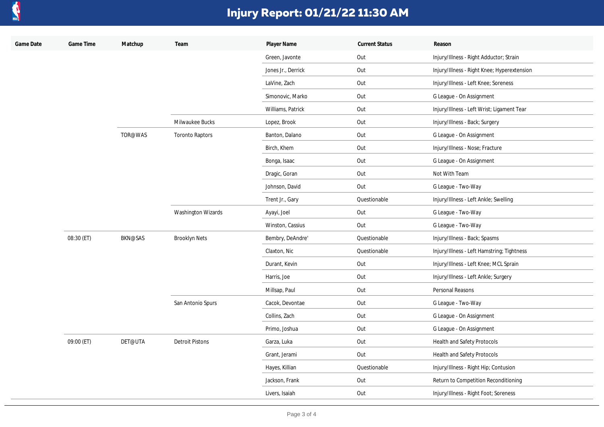

| Game Date | Game Time  | Matchup        | Team                      | Player Name        | <b>Current Status</b> | Reason                                      |
|-----------|------------|----------------|---------------------------|--------------------|-----------------------|---------------------------------------------|
|           |            |                |                           | Green, Javonte     | Out                   | Injury/Illness - Right Adductor; Strain     |
|           |            |                |                           | Jones Jr., Derrick | Out                   | Injury/Illness - Right Knee; Hyperextension |
|           |            |                |                           | LaVine, Zach       | Out                   | Injury/Illness - Left Knee; Soreness        |
|           |            |                |                           | Simonovic, Marko   | Out                   | G League - On Assignment                    |
|           |            |                |                           | Williams, Patrick  | Out                   | Injury/Illness - Left Wrist; Ligament Tear  |
|           |            |                | Milwaukee Bucks           | Lopez, Brook       | Out                   | Injury/Illness - Back; Surgery              |
|           |            | TOR@WAS        | <b>Toronto Raptors</b>    | Banton, Dalano     | Out                   | G League - On Assignment                    |
|           |            |                |                           | Birch, Khem        | Out                   | Injury/Illness - Nose; Fracture             |
|           |            |                |                           | Bonga, Isaac       | Out                   | G League - On Assignment                    |
|           |            |                |                           | Dragic, Goran      | Out                   | Not With Team                               |
|           |            |                |                           | Johnson, David     | Out                   | G League - Two-Way                          |
|           |            |                |                           | Trent Jr., Gary    | Questionable          | Injury/Illness - Left Ankle; Swelling       |
|           |            |                | <b>Washington Wizards</b> | Ayayi, Joel        | Out                   | G League - Two-Way                          |
|           |            |                |                           | Winston, Cassius   | Out                   | G League - Two-Way                          |
|           | 08:30 (ET) | <b>BKN@SAS</b> | <b>Brooklyn Nets</b>      | Bembry, DeAndre'   | Questionable          | Injury/Illness - Back; Spasms               |
|           |            |                |                           | Claxton, Nic       | Questionable          | Injury/Illness - Left Hamstring; Tightness  |
|           |            |                |                           | Durant, Kevin      | Out                   | Injury/Illness - Left Knee; MCL Sprain      |
|           |            |                |                           | Harris, Joe        | Out                   | Injury/Illness - Left Ankle; Surgery        |
|           |            |                |                           | Millsap, Paul      | Out                   | Personal Reasons                            |
|           |            |                | San Antonio Spurs         | Cacok, Devontae    | Out                   | G League - Two-Way                          |
|           |            |                |                           | Collins, Zach      | Out                   | G League - On Assignment                    |
|           |            |                |                           | Primo, Joshua      | Out                   | G League - On Assignment                    |
|           | 09:00 (ET) | DET@UTA        | <b>Detroit Pistons</b>    | Garza, Luka        | Out                   | Health and Safety Protocols                 |
|           |            |                |                           | Grant, Jerami      | Out                   | Health and Safety Protocols                 |
|           |            |                |                           | Hayes, Killian     | Questionable          | Injury/Illness - Right Hip; Contusion       |
|           |            |                |                           | Jackson, Frank     | Out                   | Return to Competition Reconditioning        |
|           |            |                |                           | Livers, Isaiah     | Out                   | Injury/Illness - Right Foot; Soreness       |
|           |            |                |                           |                    |                       |                                             |